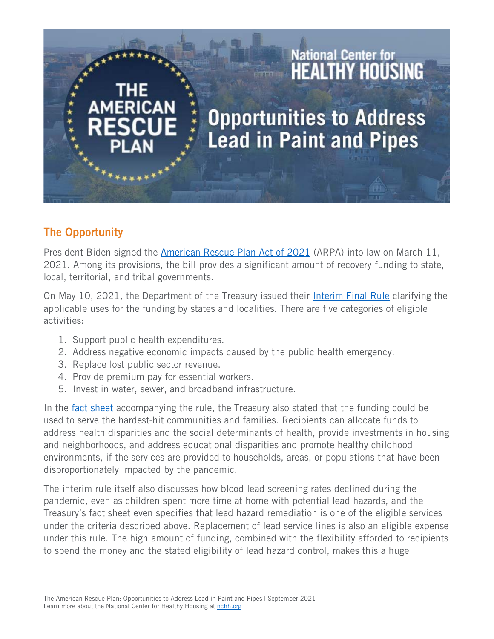## **Opportunities to Address Lead in Paint and Pipes**

National Center for<br>**HEALTHY HOUSING** 

## The Opportunity

President Biden signed the [American Rescue Plan Act of 2021](https://www.congress.gov/bill/117th-congress/house-bill/1319/text) (ARPA) into law on March 11, 2021. Among its provisions, the bill provides a significant amount of recovery funding to state, local, territorial, and tribal governments.

On May 10, 2021, the Department of the Treasury issued their [Interim Final Rule](https://home.treasury.gov/policy-issues/coronavirus/assistance-for-state-local-and-tribal-governments/state-and-local-fiscal-recovery-funds) clarifying the applicable uses for the funding by states and localities. There are five categories of eligible activities:

- 1. Support public health expenditures.
- 2. Address negative economic impacts caused by the public health emergency.
- 3. Replace lost public sector revenue.
- 4. Provide premium pay for essential workers.
- 5. Invest in water, sewer, and broadband infrastructure.

In the [fact sheet](https://home.treasury.gov/system/files/136/SLFRP-Fact-Sheet-FINAL1-508A.pdf) accompanying the rule, the Treasury also stated that the funding could be used to serve the hardest-hit communities and families. Recipients can allocate funds to address health disparities and the social determinants of health, provide investments in housing and neighborhoods, and address educational disparities and promote healthy childhood environments, if the services are provided to households, areas, or populations that have been disproportionately impacted by the pandemic.

The interim rule itself also discusses how blood lead screening rates declined during the pandemic, even as children spent more time at home with potential lead hazards, and the Treasury's fact sheet even specifies that lead hazard remediation is one of the eligible services under the criteria described above. Replacement of lead service lines is also an eligible expense under this rule. The high amount of funding, combined with the flexibility afforded to recipients to spend the money and the stated eligibility of lead hazard control, makes this a huge

\_\_\_\_\_\_\_\_\_\_\_\_\_\_\_\_\_\_\_\_\_\_\_\_\_\_\_\_\_\_\_\_\_\_\_\_\_\_\_\_\_\_\_\_\_\_\_\_\_\_\_\_\_\_\_\_\_\_\_\_\_\_\_\_\_\_\_\_\_\_\_\_\_\_\_\_\_\_\_\_\_\_\_\_\_\_\_\_\_\_\_

The American Rescue Plan: Opportunities to Address Lead in Paint and Pipes | September 2021 Learn more about the National Center for Healthy Housing at [nchh.org](https://nchh.org/)